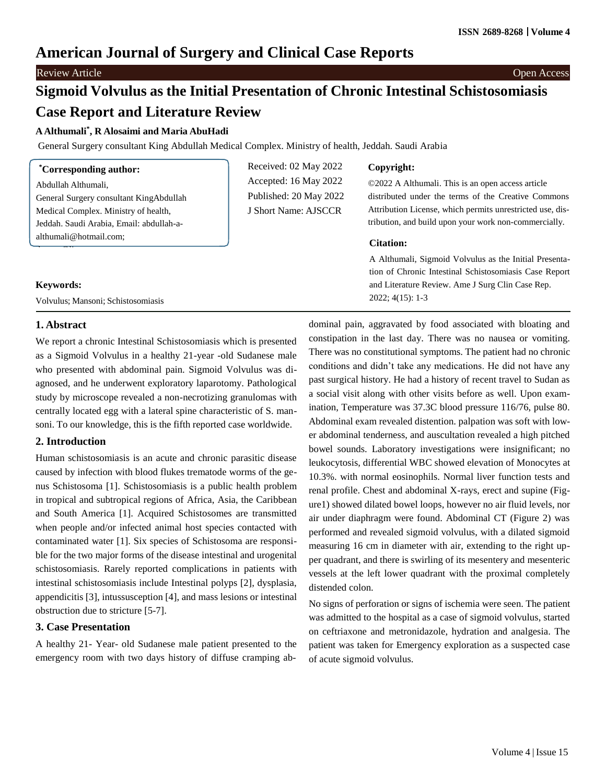# **American Journal of Surgery and Clinical Case Reports**

# **Review Article** Open Access **Contract Contract Contract Contract Contract Contract Contract Contract Contract Contract Contract Contract Contract Contract Contract Contract Contract Contract Contract Contract Contract Con**

# **Sigmoid Volvulus as the Initial Presentation of Chronic Intestinal Schistosomiasis Case Report and Literature Review**

# **AAlthumali\* , R Alosaimi and Maria AbuHadi**

General Surgery consultant King Abdullah Medical Complex. Ministry of health, Jeddah. Saudi Arabia

| <i>Corresponding author:</i>             | Received: 02 May 2022  | Copyright:                                                |
|------------------------------------------|------------------------|-----------------------------------------------------------|
| Abdullah Althumali,                      | Accepted: 16 May 2022  | ©2022 A Althumali. This is an open access article         |
| General Surgery consultant KingAbdullah  | Published: 20 May 2022 | distributed under the terms of the Creative Commons       |
| Medical Complex. Ministry of health,     | J Short Name: AJSCCR   | Attribution License, which permits unrestricted use, dis- |
| Jeddah. Saudi Arabia, Email: abdullah-a- |                        | tribution, and build upon your work non-commercially.     |
|                                          |                        |                                                           |
| althumali@hotmail.com;                   |                        | <b>Citation:</b>                                          |
|                                          |                        | A Althumali, Sigmoid Volvulus as the Initial Presenta-    |
|                                          |                        | tion of Chronic Intestinal Schistosomiasis Case Report    |
| <b>Keywords:</b>                         |                        | and Literature Review. Ame J Surg Clin Case Rep.          |

# **1. Abstract**

We report a chronic Intestinal Schistosomiasis which is presented as a Sigmoid Volvulus in a healthy 21-year -old Sudanese male who presented with abdominal pain. Sigmoid Volvulus was diagnosed, and he underwent exploratory laparotomy. Pathological study by microscope revealed a non-necrotizing granulomas with centrally located egg with a lateral spine characteristic of S. mansoni. To our knowledge, this is the fifth reported case worldwide.

# **2. Introduction**

Human schistosomiasis is an acute and chronic parasitic disease caused by infection with blood flukes trematode worms of the genus Schistosoma [1]. Schistosomiasis is a public health problem in tropical and subtropical regions of Africa, Asia, the Caribbean and South America [1]. Acquired Schistosomes are transmitted when people and/or infected animal host species contacted with contaminated water [1]. Six species of Schistosoma are responsible for the two major forms of the disease intestinal and urogenital schistosomiasis. Rarely reported complications in patients with intestinal schistosomiasis include Intestinal polyps [2], dysplasia, appendicitis [3], intussusception [4], and mass lesions or intestinal obstruction due to stricture [5-7].

# **3. Case Presentation**

A healthy 21- Year- old Sudanese male patient presented to the emergency room with two days history of diffuse cramping ab-

dominal pain, aggravated by food associated with bloating and constipation in the last day. There was no nausea or vomiting. There was no constitutional symptoms. The patient had no chronic conditions and didn't take any medications. He did not have any past surgical history. He had a history of recent travel to Sudan as a social visit along with other visits before as well. Upon examination, Temperature was 37.3C blood pressure 116/76, pulse 80. Abdominal exam revealed distention. palpation was soft with lower abdominal tenderness, and auscultation revealed a high pitched bowel sounds. Laboratory investigations were insignificant; no leukocytosis, differential WBC showed elevation of Monocytes at 10.3%. with normal eosinophils. Normal liver function tests and renal profile. Chest and abdominal X-rays, erect and supine (Figure1) showed dilated bowel loops, however no air fluid levels, nor air under diaphragm were found. Abdominal CT (Figure 2) was performed and revealed sigmoid volvulus, with a dilated sigmoid measuring 16 cm in diameter with air, extending to the right upper quadrant, and there is swirling of its mesentery and mesenteric vessels at the left lower quadrant with the proximal completely distended colon.

No signs of perforation or signs of ischemia were seen. The patient was admitted to the hospital as a case of sigmoid volvulus, started on ceftriaxone and metronidazole, hydration and analgesia. The patient was taken for Emergency exploration as a suspected case of acute sigmoid volvulus.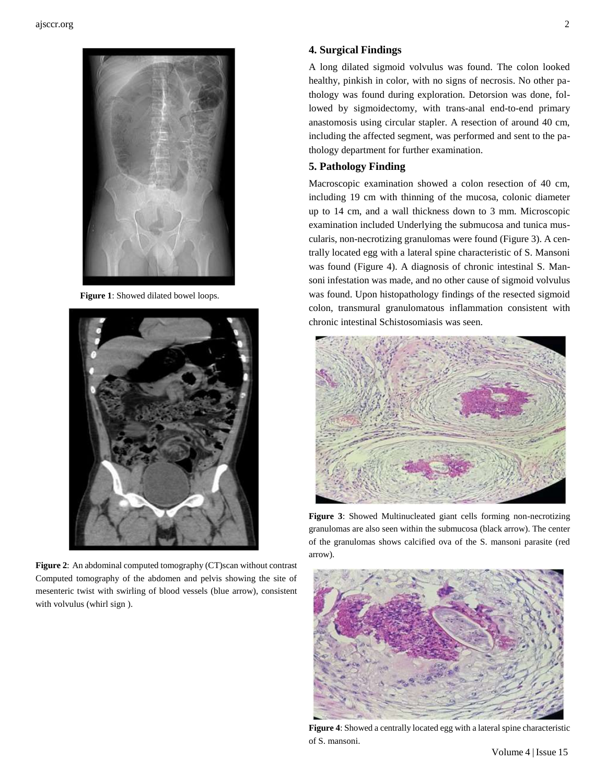

**Figure 1**: Showed dilated bowel loops.



**Figure 2**: An abdominal computed tomography (CT)scan without contrast Computed tomography of the abdomen and pelvis showing the site of mesenteric twist with swirling of blood vessels (blue arrow), consistent with volvulus (whirl sign ).

#### **4. Surgical Findings**

A long dilated sigmoid volvulus was found. The colon looked healthy, pinkish in color, with no signs of necrosis. No other pathology was found during exploration. Detorsion was done, followed by sigmoidectomy, with trans-anal end-to-end primary anastomosis using circular stapler. A resection of around 40 cm, including the affected segment, was performed and sent to the pathology department for further examination.

#### **5. Pathology Finding**

Macroscopic examination showed a colon resection of 40 cm, including 19 cm with thinning of the mucosa, colonic diameter up to 14 cm, and a wall thickness down to 3 mm. Microscopic examination included Underlying the submucosa and tunica muscularis, non-necrotizing granulomas were found (Figure 3). A centrally located egg with a lateral spine characteristic of S. Mansoni was found (Figure 4). A diagnosis of chronic intestinal S. Mansoni infestation was made, and no other cause of sigmoid volvulus was found. Upon histopathology findings of the resected sigmoid colon, transmural granulomatous inflammation consistent with chronic intestinal Schistosomiasis was seen.



**Figure 3**: Showed Multinucleated giant cells forming non-necrotizing granulomas are also seen within the submucosa (black arrow). The center of the granulomas shows calcified ova of the S. mansoni parasite (red arrow).



**Figure 4**: Showed a centrally located egg with a lateral spine characteristic of S. mansoni.